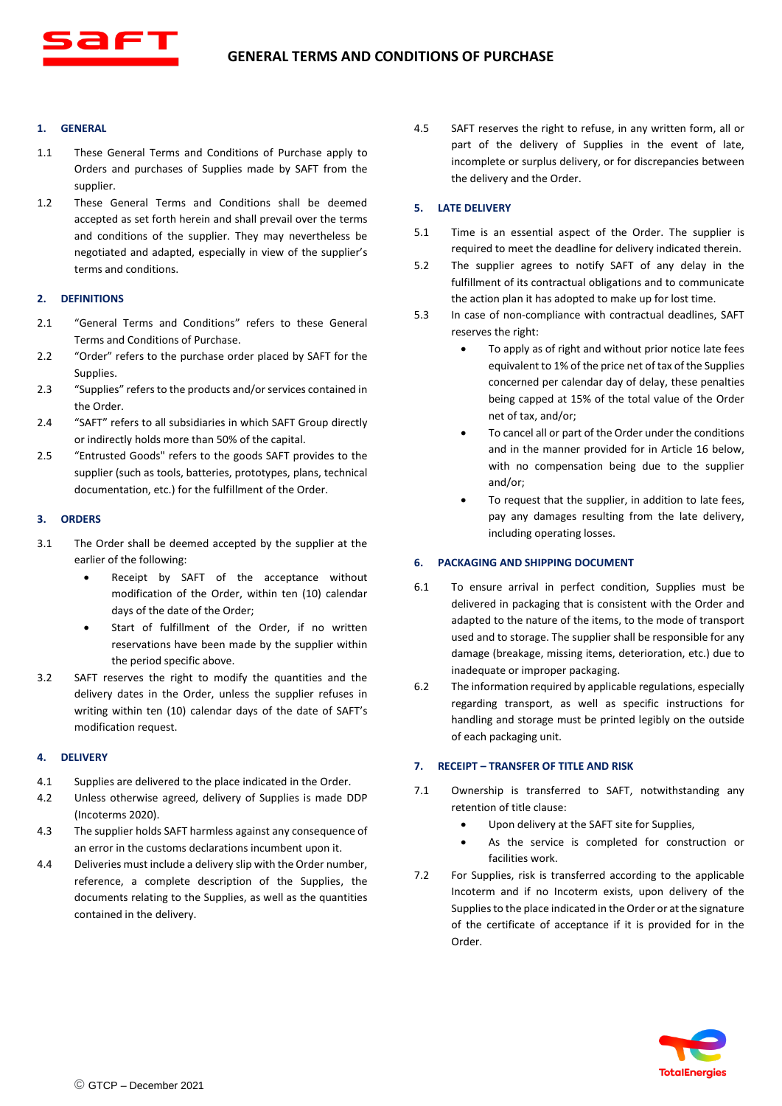

# **1. GENERAL**

- 1.1 These General Terms and Conditions of Purchase apply to Orders and purchases of Supplies made by SAFT from the supplier.
- 1.2 These General Terms and Conditions shall be deemed accepted as set forth herein and shall prevail over the terms and conditions of the supplier. They may nevertheless be negotiated and adapted, especially in view of the supplier's terms and conditions.

# **2. DEFINITIONS**

- 2.1 "General Terms and Conditions" refers to these General Terms and Conditions of Purchase.
- 2.2 "Order" refers to the purchase order placed by SAFT for the **Supplies**
- 2.3 "Supplies" refers to the products and/or services contained in the Order.
- 2.4 "SAFT" refers to all subsidiaries in which SAFT Group directly or indirectly holds more than 50% of the capital.
- 2.5 "Entrusted Goods" refers to the goods SAFT provides to the supplier (such as tools, batteries, prototypes, plans, technical documentation, etc.) for the fulfillment of the Order.

# **3. ORDERS**

- 3.1 The Order shall be deemed accepted by the supplier at the earlier of the following:
	- Receipt by SAFT of the acceptance without modification of the Order, within ten (10) calendar days of the date of the Order;
	- Start of fulfillment of the Order, if no written reservations have been made by the supplier within the period specific above.
- 3.2 SAFT reserves the right to modify the quantities and the delivery dates in the Order, unless the supplier refuses in writing within ten (10) calendar days of the date of SAFT's modification request.

# **4. DELIVERY**

- 4.1 Supplies are delivered to the place indicated in the Order.
- 4.2 Unless otherwise agreed, delivery of Supplies is made DDP (Incoterms 2020).
- 4.3 The supplier holds SAFT harmless against any consequence of an error in the customs declarations incumbent upon it.
- 4.4 Deliveries must include a delivery slip with the Order number, reference, a complete description of the Supplies, the documents relating to the Supplies, as well as the quantities contained in the delivery.

4.5 SAFT reserves the right to refuse, in any written form, all or part of the delivery of Supplies in the event of late, incomplete or surplus delivery, or for discrepancies between the delivery and the Order.

# **5. LATE DELIVERY**

- 5.1 Time is an essential aspect of the Order. The supplier is required to meet the deadline for delivery indicated therein.
- 5.2 The supplier agrees to notify SAFT of any delay in the fulfillment of its contractual obligations and to communicate the action plan it has adopted to make up for lost time.
- 5.3 In case of non-compliance with contractual deadlines, SAFT reserves the right:
	- To apply as of right and without prior notice late fees equivalent to 1% of the price net of tax of the Supplies concerned per calendar day of delay, these penalties being capped at 15% of the total value of the Order net of tax, and/or;
	- To cancel all or part of the Order under the conditions and in the manner provided for in Article 16 below, with no compensation being due to the supplier and/or;
	- To request that the supplier, in addition to late fees, pay any damages resulting from the late delivery, including operating losses.

# **6. PACKAGING AND SHIPPING DOCUMENT**

- 6.1 To ensure arrival in perfect condition, Supplies must be delivered in packaging that is consistent with the Order and adapted to the nature of the items, to the mode of transport used and to storage. The supplier shall be responsible for any damage (breakage, missing items, deterioration, etc.) due to inadequate or improper packaging.
- 6.2 The information required by applicable regulations, especially regarding transport, as well as specific instructions for handling and storage must be printed legibly on the outside of each packaging unit.

## **7. RECEIPT – TRANSFER OF TITLE AND RISK**

- 7.1 Ownership is transferred to SAFT, notwithstanding any retention of title clause:
	- Upon delivery at the SAFT site for Supplies,
	- As the service is completed for construction or facilities work.
- 7.2 For Supplies, risk is transferred according to the applicable Incoterm and if no Incoterm exists, upon delivery of the Supplies to the place indicated in the Order or at the signature of the certificate of acceptance if it is provided for in the Order.

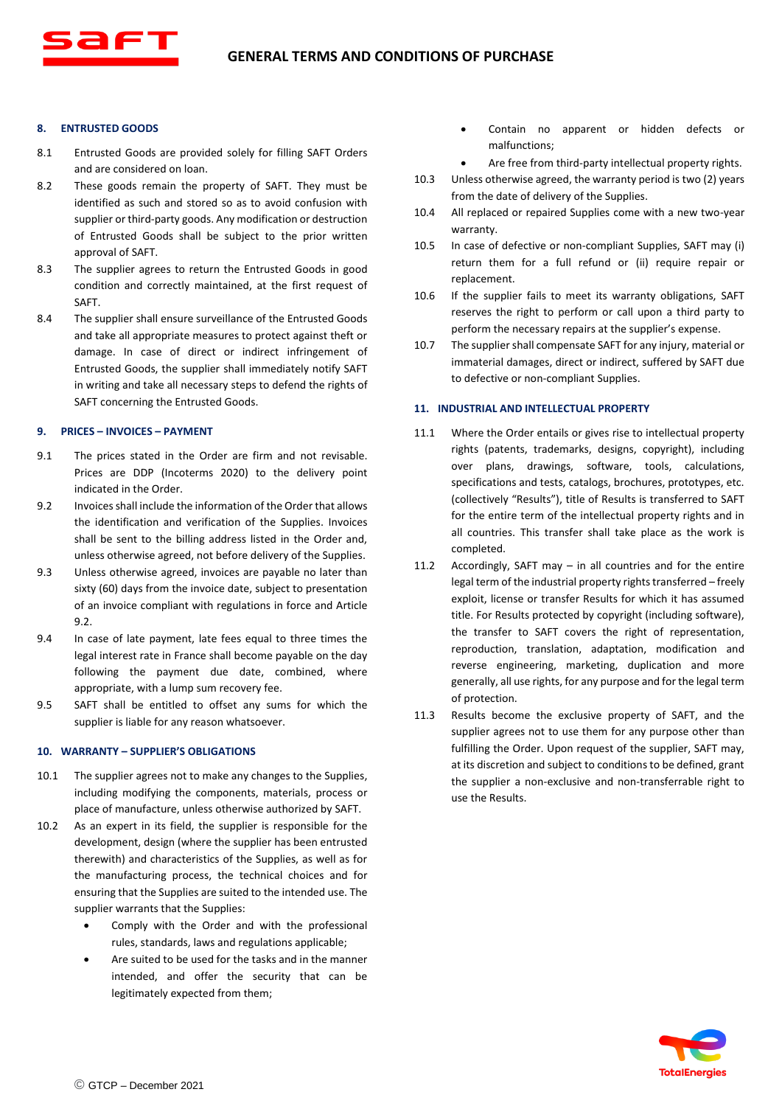## **8. ENTRUSTED GOODS**

- 8.1 Entrusted Goods are provided solely for filling SAFT Orders and are considered on loan.
- 8.2 These goods remain the property of SAFT. They must be identified as such and stored so as to avoid confusion with supplier or third-party goods. Any modification or destruction of Entrusted Goods shall be subject to the prior written approval of SAFT.
- 8.3 The supplier agrees to return the Entrusted Goods in good condition and correctly maintained, at the first request of SAFT.
- 8.4 The supplier shall ensure surveillance of the Entrusted Goods and take all appropriate measures to protect against theft or damage. In case of direct or indirect infringement of Entrusted Goods, the supplier shall immediately notify SAFT in writing and take all necessary steps to defend the rights of SAFT concerning the Entrusted Goods.

### **9. PRICES – INVOICES – PAYMENT**

- 9.1 The prices stated in the Order are firm and not revisable. Prices are DDP (Incoterms 2020) to the delivery point indicated in the Order.
- 9.2 Invoices shall include the information of the Order that allows the identification and verification of the Supplies. Invoices shall be sent to the billing address listed in the Order and, unless otherwise agreed, not before delivery of the Supplies.
- 9.3 Unless otherwise agreed, invoices are payable no later than sixty (60) days from the invoice date, subject to presentation of an invoice compliant with regulations in force and Article 9.2.
- 9.4 In case of late payment, late fees equal to three times the legal interest rate in France shall become payable on the day following the payment due date, combined, where appropriate, with a lump sum recovery fee.
- 9.5 SAFT shall be entitled to offset any sums for which the supplier is liable for any reason whatsoever.

#### **10. WARRANTY – SUPPLIER'S OBLIGATIONS**

- 10.1 The supplier agrees not to make any changes to the Supplies, including modifying the components, materials, process or place of manufacture, unless otherwise authorized by SAFT.
- 10.2 As an expert in its field, the supplier is responsible for the development, design (where the supplier has been entrusted therewith) and characteristics of the Supplies, as well as for the manufacturing process, the technical choices and for ensuring that the Supplies are suited to the intended use. The supplier warrants that the Supplies:
	- Comply with the Order and with the professional rules, standards, laws and regulations applicable;
	- Are suited to be used for the tasks and in the manner intended, and offer the security that can be legitimately expected from them;
- Contain no apparent or hidden defects or malfunctions;
	- Are free from third-party intellectual property rights.
- 10.3 Unless otherwise agreed, the warranty period is two (2) years from the date of delivery of the Supplies.
- 10.4 All replaced or repaired Supplies come with a new two-year warranty.
- 10.5 In case of defective or non-compliant Supplies, SAFT may (i) return them for a full refund or (ii) require repair or replacement.
- 10.6 If the supplier fails to meet its warranty obligations, SAFT reserves the right to perform or call upon a third party to perform the necessary repairs at the supplier's expense.
- 10.7 The supplier shall compensate SAFT for any injury, material or immaterial damages, direct or indirect, suffered by SAFT due to defective or non-compliant Supplies.

## **11. INDUSTRIAL AND INTELLECTUAL PROPERTY**

- 11.1 Where the Order entails or gives rise to intellectual property rights (patents, trademarks, designs, copyright), including over plans, drawings, software, tools, calculations, specifications and tests, catalogs, brochures, prototypes, etc. (collectively "Results"), title of Results is transferred to SAFT for the entire term of the intellectual property rights and in all countries. This transfer shall take place as the work is completed.
- 11.2 Accordingly, SAFT may in all countries and for the entire legal term of the industrial property rights transferred – freely exploit, license or transfer Results for which it has assumed title. For Results protected by copyright (including software), the transfer to SAFT covers the right of representation, reproduction, translation, adaptation, modification and reverse engineering, marketing, duplication and more generally, all use rights, for any purpose and for the legal term of protection.
- 11.3 Results become the exclusive property of SAFT, and the supplier agrees not to use them for any purpose other than fulfilling the Order. Upon request of the supplier, SAFT may, at its discretion and subject to conditions to be defined, grant the supplier a non-exclusive and non-transferrable right to use the Results.

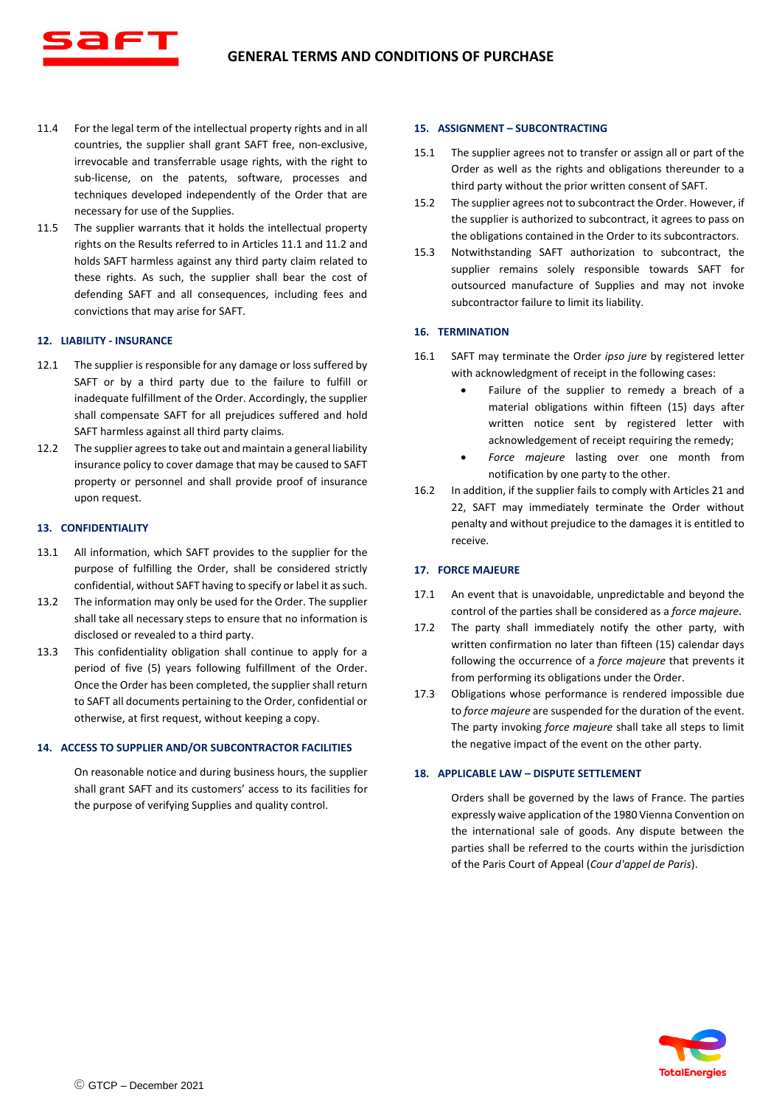- 11.4 For the legal term of the intellectual property rights and in all countries, the supplier shall grant SAFT free, non-exclusive, irrevocable and transferrable usage rights, with the right to sub-license, on the patents, software, processes and techniques developed independently of the Order that are necessary for use of the Supplies.
- 11.5 The supplier warrants that it holds the intellectual property rights on the Results referred to in Articles 11.1 and 11.2 and holds SAFT harmless against any third party claim related to these rights. As such, the supplier shall bear the cost of defending SAFT and all consequences, including fees and convictions that may arise for SAFT.

# **12. LIABILITY - INSURANCE**

- 12.1 The supplier is responsible for any damage or loss suffered by SAFT or by a third party due to the failure to fulfill or inadequate fulfillment of the Order. Accordingly, the supplier shall compensate SAFT for all prejudices suffered and hold SAFT harmless against all third party claims.
- 12.2 The supplier agrees to take out and maintain a general liability insurance policy to cover damage that may be caused to SAFT property or personnel and shall provide proof of insurance upon request.

### **13. CONFIDENTIALITY**

- 13.1 All information, which SAFT provides to the supplier for the purpose of fulfilling the Order, shall be considered strictly confidential, without SAFT having to specify or label it as such.
- 13.2 The information may only be used for the Order. The supplier shall take all necessary steps to ensure that no information is disclosed or revealed to a third party.
- 13.3 This confidentiality obligation shall continue to apply for a period of five (5) years following fulfillment of the Order. Once the Order has been completed, the supplier shall return to SAFT all documents pertaining to the Order, confidential or otherwise, at first request, without keeping a copy.

#### **14. ACCESS TO SUPPLIER AND/OR SUBCONTRACTOR FACILITIES**

On reasonable notice and during business hours, the supplier shall grant SAFT and its customers' access to its facilities for the purpose of verifying Supplies and quality control.

### **15. ASSIGNMENT – SUBCONTRACTING**

- 15.1 The supplier agrees not to transfer or assign all or part of the Order as well as the rights and obligations thereunder to a third party without the prior written consent of SAFT.
- 15.2 The supplier agrees not to subcontract the Order. However, if the supplier is authorized to subcontract, it agrees to pass on the obligations contained in the Order to its subcontractors.
- 15.3 Notwithstanding SAFT authorization to subcontract, the supplier remains solely responsible towards SAFT for outsourced manufacture of Supplies and may not invoke subcontractor failure to limit its liability.

### **16. TERMINATION**

- 16.1 SAFT may terminate the Order *ipso jure* by registered letter with acknowledgment of receipt in the following cases:
	- Failure of the supplier to remedy a breach of a material obligations within fifteen (15) days after written notice sent by registered letter with acknowledgement of receipt requiring the remedy;
	- *Force majeure* lasting over one month from notification by one party to the other.
- 16.2 In addition, if the supplier fails to comply with Articles 21 and 22, SAFT may immediately terminate the Order without penalty and without prejudice to the damages it is entitled to receive.

## **17. FORCE MAJEURE**

- 17.1 An event that is unavoidable, unpredictable and beyond the control of the parties shall be considered as a *force majeure*.
- 17.2 The party shall immediately notify the other party, with written confirmation no later than fifteen (15) calendar days following the occurrence of a *force majeure* that prevents it from performing its obligations under the Order.
- 17.3 Obligations whose performance is rendered impossible due to *force majeure* are suspended for the duration of the event. The party invoking *force majeure* shall take all steps to limit the negative impact of the event on the other party.

#### **18. APPLICABLE LAW – DISPUTE SETTLEMENT**

Orders shall be governed by the laws of France. The parties expressly waive application of the 1980 Vienna Convention on the international sale of goods. Any dispute between the parties shall be referred to the courts within the jurisdiction of the Paris Court of Appeal (*Cour d'appel de Paris*).